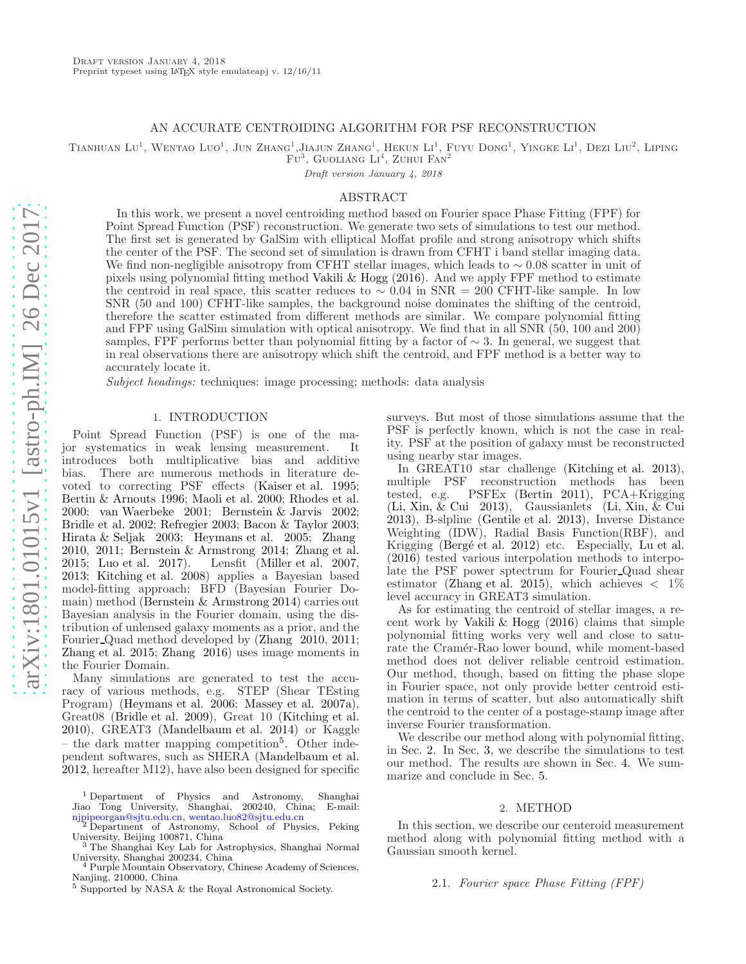# AN ACCURATE CENTROIDING ALGORITHM FOR PSF RECONSTRUCTION

TIANHUAN LU<sup>1</sup>, WENTAO LUO<sup>1</sup>, JUN ZHANG<sup>1</sup>, JIAJUN ZHANG<sup>1</sup>, HEKUN LI<sup>1</sup>, FUYU DONG<sup>1</sup>, YINGKE LI<sup>1</sup>, DEZI LIU<sup>2</sup>, LIPING

 $Fu^{3}$ , Guoliang  $Li^{4}$ , Zuhui Fan<sup>2</sup>

Draft version January 4, 2018

#### ABSTRACT

In this work, we present a novel centroiding method based on Fourier space Phase Fitting (FPF) for Point Spread Function (PSF) reconstruction. We generate two sets of simulations to test our method. The first set is generated by GalSim with elliptical Moffat profile and strong anisotropy which shifts the center of the PSF. The second set of simulation is drawn from CFHT i band stellar imaging data. We find non-negligible anisotropy from CFHT stellar images, which leads to ∼ 0.08 scatter in unit of pixels using polynomial fitting method [Vakili & Hogg](#page-4-0) [\(2016](#page-4-0)). And we apply FPF method to estimate the centroid in real space, this scatter reduces to  $\sim 0.04$  in SNR = 200 CFHT-like sample. In low SNR (50 and 100) CFHT-like samples, the background noise dominates the shifting of the centroid, therefore the scatter estimated from different methods are similar. We compare polynomial fitting and FPF using GalSim simulation with optical anisotropy. We find that in all SNR (50, 100 and 200) samples, FPF performs better than polynomial fitting by a factor of  $\sim$  3. In general, we suggest that in real observations there are anisotropy which shift the centroid, and FPF method is a better way to accurately locate it.

Subject headings: techniques: image processing; methods: data analysis

## 1. INTRODUCTION

Point Spread Function (PSF) is one of the major systematics in weak lensing measurement. It introduces both multiplicative bias and additive bias. There are numerous methods in literature devoted to correcting PSF effects [\(Kaiser et al. 1995;](#page-3-0) [Bertin & Arnouts 1996;](#page-3-1) [Maoli et al. 2000](#page-3-2); [Rhodes et al.](#page-4-1) [2000;](#page-4-1) [van Waerbeke 2001](#page-4-2); [Bernstein & Jarvis 2002;](#page-3-3) [Bridle et al. 2002;](#page-3-4) [Refregier 2003;](#page-4-3) [Bacon & Taylor 2003;](#page-3-5) [Hirata & Seljak 2003;](#page-3-6) [Heymans et al. 2005](#page-3-7); [Zhang](#page-4-4) [2010,](#page-4-4) [2011;](#page-4-5) [Bernstein & Armstrong 2014;](#page-3-8) [Zhang et al.](#page-4-6) Lensfit [\(Miller et al. 2007,](#page-4-7) [2013;](#page-4-8) [Kitching et al. 2008\)](#page-3-10) applies a Bayesian based model-fitting approach; BFD (Bayesian Fourier Domain) method [\(Bernstein & Armstrong 2014\)](#page-3-8) carries out Bayesian analysis in the Fourier domain, using the distribution of unlensed galaxy moments as a prior, and the Fourier Quad method developed by [\(Zhang 2010,](#page-4-4) [2011;](#page-4-5) [Zhang et al. 2015;](#page-4-6) [Zhang 2016\)](#page-4-9) uses image moments in the Fourier Domain.

Many simulations are generated to test the accuracy of various methods, e.g. STEP (Shear TEsting Program) [\(Heymans et al. 2006;](#page-3-11) [Massey et al. 2007a\)](#page-4-10), Great08 [\(Bridle et al. 2009\)](#page-3-12), Great 10 [\(Kitching et al.](#page-3-13) [2010\)](#page-3-13), GREAT3 [\(Mandelbaum et al. 2014\)](#page-3-14) or Kaggle – the dark matter mapping competition<sup>[5](#page-0-0)</sup>. Other independent softwares, such as SHERA [\(Mandelbaum et al.](#page-3-15) [2012,](#page-3-15) hereafter M12), have also been designed for specific

<span id="page-0-0"></span><sup>5</sup> Supported by NASA & the Royal Astronomical Society.

surveys. But most of those simulations assume that the PSF is perfectly known, which is not the case in reality. PSF at the position of galaxy must be reconstructed using nearby star images.

In GREAT10 star challenge [\(Kitching et al. 2013](#page-3-16)), multiple PSF reconstruction methods has been<br>tested, e.g. PSFEx (Bertin 2011), PCA+Krigging PSFEx [\(Bertin 2011\)](#page-3-17), PCA+Krigging [\(Li, Xin, & Cui 2013\)](#page-3-18), Gaussianlets [\(Li, Xin, & Cui](#page-3-18) [2013\)](#page-3-18), B-slpline [\(Gentile et al. 2013\)](#page-3-19), Inverse Distance Weighting (IDW), Radial Basis Function(RBF), and Krigging (Bergé et al. 2012) etc. Especially, [Lu et al.](#page-3-21) [\(2016\)](#page-3-21) tested various interpolation methods to interpolate the PSF power sptectrum for Fourier Quad shear estimator [\(Zhang et al. 2015](#page-4-6)), which achieves  $\langle 1 \rangle$ level accuracy in GREAT3 simulation.

As for estimating the centroid of stellar images, a recent work by [Vakili & Hogg](#page-4-0) [\(2016](#page-4-0)) claims that simple polynomial fitting works very well and close to saturate the Cramér-Rao lower bound, while moment-based method does not deliver reliable centroid estimation. Our method, though, based on fitting the phase slope in Fourier space, not only provide better centroid estimation in terms of scatter, but also automatically shift the centroid to the center of a postage-stamp image after inverse Fourier transformation.

We describe our method along with polynomial fitting, in Sec. [2.](#page-0-1) In Sec. [3,](#page-1-0) we describe the simulations to test our method. The results are shown in Sec. [4.](#page-3-22) We summarize and conclude in Sec. [5.](#page-3-23)

### 2. METHOD

<span id="page-0-1"></span>In this section, we describe our centeroid measurement method along with polynomial fitting method with a Gaussian smooth kernel.

#### 2.1. Fourier space Phase Fitting (FPF)

<sup>1</sup> Department of Physics and Astronomy, Shanghai Jiao Tong University, Shanghai, 200240, China; E-mail:

[njpipeorgan@sjtu.edu.cn,](mailto:njpipeorgan@sjtu.edu.cn) [wentao.luo82@sjtu.edu.cn](mailto:wentao.luo82@sjtu.edu.cn) <sup>2</sup> Department of Astronomy, School of Physics, Peking University, Beijing 100871, China

<sup>3</sup> The Shanghai Key Lab for Astrophysics, Shanghai Normal University, Shanghai 200234, China

<sup>4</sup> Purple Mountain Observatory, Chinese Academy of Sciences, Nanjing, 210000, China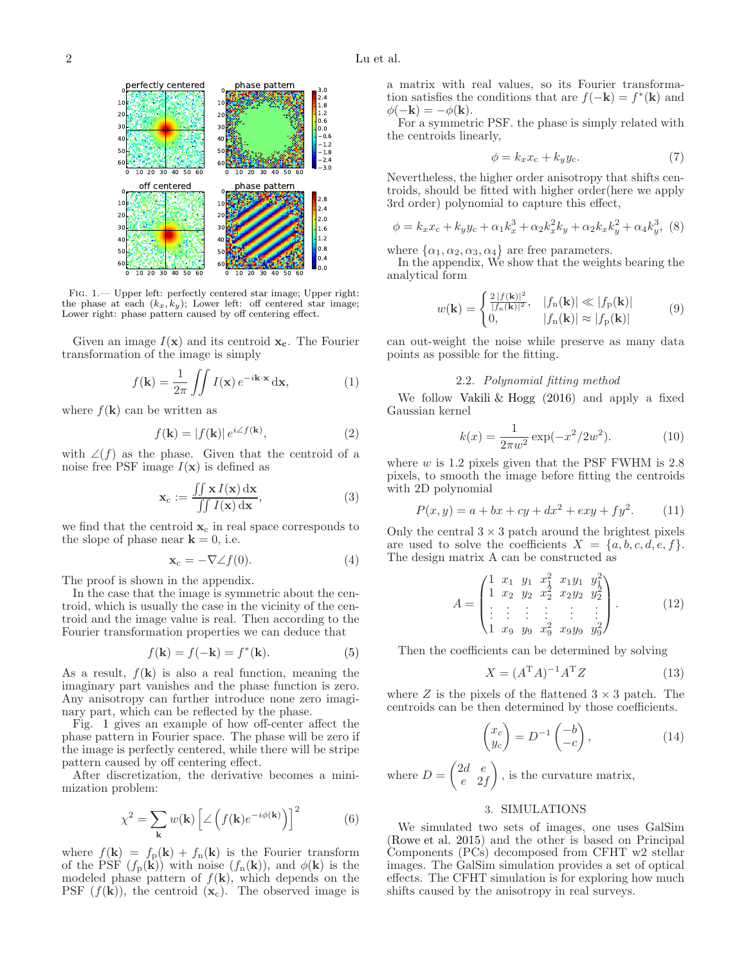

<span id="page-1-1"></span>Fig. 1.— Upper left: perfectly centered star image; Upper right: the phase at each  $(k_x, k_y)$ ; Lower left: off centered star image; Lower right: phase pattern caused by off centering effect.

Given an image  $I(\mathbf{x})$  and its centroid  $\mathbf{x_c}$ . The Fourier transformation of the image is simply

$$
f(\mathbf{k}) = \frac{1}{2\pi} \iint I(\mathbf{x}) e^{-i\mathbf{k}\cdot\mathbf{x}} d\mathbf{x},
$$
 (1)

where  $f(\mathbf{k})$  can be written as

$$
f(\mathbf{k}) = |f(\mathbf{k})| e^{i\angle f(\mathbf{k})}, \qquad (2)
$$

with  $\angle(f)$  as the phase. Given that the centroid of a noise free PSF image  $I(\mathbf{x})$  is defined as

$$
\mathbf{x}_{\rm c} := \frac{\iint \mathbf{x} \, I(\mathbf{x}) \, \mathrm{d}\mathbf{x}}{\iint I(\mathbf{x}) \, \mathrm{d}\mathbf{x}},\tag{3}
$$

we find that the centroid  $\mathbf{x}_c$  in real space corresponds to the slope of phase near  $\mathbf{k} = 0$ , i.e.

$$
\mathbf{x}_{\rm c} = -\nabla \angle f(0). \tag{4}
$$

The proof is shown in the appendix.

In the case that the image is symmetric about the centroid, which is usually the case in the vicinity of the centroid and the image value is real. Then according to the Fourier transformation properties we can deduce that

$$
f(\mathbf{k}) = f(-\mathbf{k}) = f^*(\mathbf{k}).\tag{5}
$$

As a result,  $f(\mathbf{k})$  is also a real function, meaning the imaginary part vanishes and the phase function is zero. Any anisotropy can further introduce none zero imaginary part, which can be reflected by the phase.

Fig. [1](#page-1-1) gives an example of how off-center affect the phase pattern in Fourier space. The phase will be zero if the image is perfectly centered, while there will be stripe pattern caused by off centering effect.

After discretization, the derivative becomes a minimization problem:

$$
\chi^2 = \sum_{\mathbf{k}} w(\mathbf{k}) \left[ \angle \left( f(\mathbf{k}) e^{-i\phi(\mathbf{k})} \right) \right]^2 \tag{6}
$$

where  $f(\mathbf{k}) = f_p(\mathbf{k}) + f_n(\mathbf{k})$  is the Fourier transform of the PSF  $(f_p(\mathbf{k}))$  with noise  $(f_n(\mathbf{k}))$ , and  $\phi(\mathbf{k})$  is the modeled phase pattern of  $f(\mathbf{k})$ , which depends on the PSF  $(f(\mathbf{k}))$ , the centroid  $(\mathbf{x}_c)$ . The observed image is a matrix with real values, so its Fourier transformation satisfies the conditions that are  $f(-\mathbf{k}) = f^*(\mathbf{k})$  and  $\phi(-\mathbf{k}) = -\phi(\mathbf{k}).$ 

For a symmetric PSF. the phase is simply related with the centroids linearly,

$$
\phi = k_x x_c + k_y y_c. \tag{7}
$$

Nevertheless, the higher order anisotropy that shifts centroids, should be fitted with higher order(here we apply 3rd order) polynomial to capture this effect,

$$
\phi = k_x x_c + k_y y_c + \alpha_1 k_x^3 + \alpha_2 k_x^2 k_y + \alpha_2 k_x k_y^2 + \alpha_4 k_y^3, \tag{8}
$$

where  $\{\alpha_1, \alpha_2, \alpha_3, \alpha_4\}$  are free parameters.

In the appendix, We show that the weights bearing the analytical form

$$
w(\mathbf{k}) = \begin{cases} \frac{2|f(\mathbf{k})|^2}{|f_n(\mathbf{k})|^2}, & |f_n(\mathbf{k})| \ll |f_p(\mathbf{k})| \\ 0, & |f_n(\mathbf{k})| \approx |f_p(\mathbf{k})| \end{cases} \tag{9}
$$

can out-weight the noise while preserve as many data points as possible for the fitting.

## 2.2. Polynomial fitting method

We follow [Vakili & Hogg](#page-4-0) [\(2016](#page-4-0)) and apply a fixed Gaussian kernel

$$
k(x) = \frac{1}{2\pi w^2} \exp(-x^2/2w^2).
$$
 (10)

where  $w$  is 1.2 pixels given that the PSF FWHM is 2.8 pixels, to smooth the image before fitting the centroids with 2D polynomial

$$
P(x, y) = a + bx + cy + dx2 + exp + fy2.
$$
 (11)

Only the central  $3 \times 3$  patch around the brightest pixels are used to solve the coefficients  $X = \{a, b, c, d, e, f\}.$ The design matrix A can be constructed as

$$
A = \begin{pmatrix} 1 & x_1 & y_1 & x_1^2 & x_1y_1 & y_1^2 \\ 1 & x_2 & y_2 & x_2^2 & x_2y_2 & y_2^2 \\ \vdots & \vdots & \vdots & \vdots & \vdots & \vdots \\ 1 & x_9 & y_9 & x_9^2 & x_9y_9 & y_9^2 \end{pmatrix} .
$$
 (12)

Then the coefficients can be determined by solving

$$
X = (AT A)^{-1} AT Z
$$
\n(13)

where Z is the pixels of the flattened  $3 \times 3$  patch. The centroids can be then determined by those coefficients.

$$
\begin{pmatrix} x_c \\ y_c \end{pmatrix} = D^{-1} \begin{pmatrix} -b \\ -c \end{pmatrix}, \tag{14}
$$

where  $D = \begin{pmatrix} 2d & e \\ e & 2d \end{pmatrix}$ e 2f ), is the curvature matrix,

## 3. SIMULATIONS

<span id="page-1-0"></span>We simulated two sets of images, one uses GalSim [\(Rowe et al. 2015\)](#page-4-11) and the other is based on Principal Components (PCs) decomposed from CFHT w2 stellar images. The GalSim simulation provides a set of optical effects. The CFHT simulation is for exploring how much shifts caused by the anisotropy in real surveys.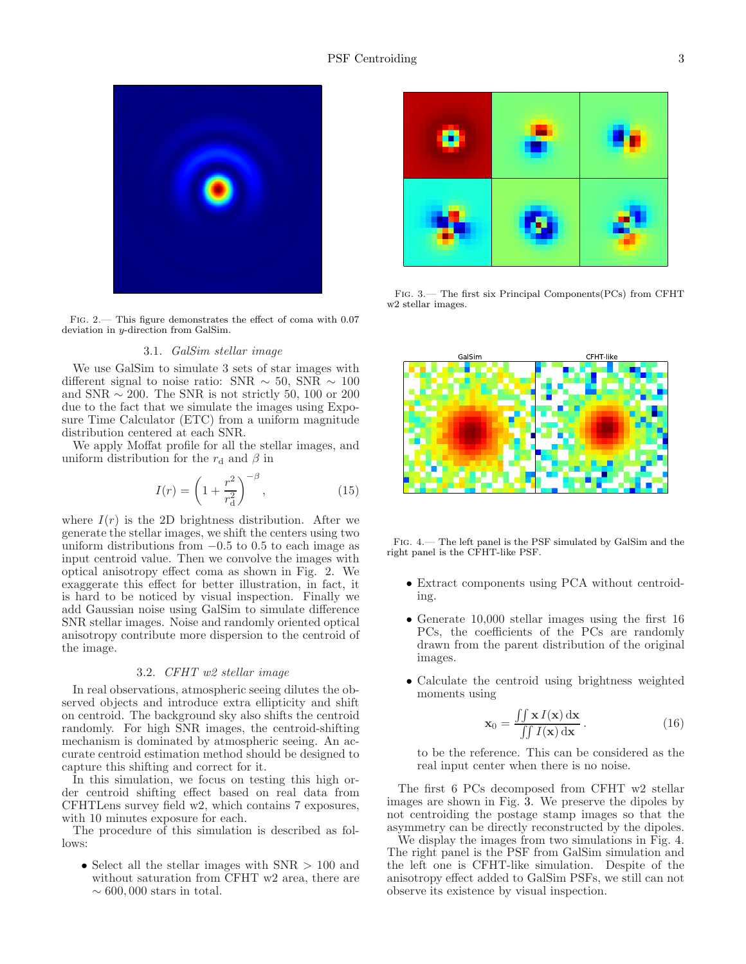

Fig. 2.— This figure demonstrates the effect of coma with 0.07 deviation in y-direction from GalSim.

#### 3.1. GalSim stellar image

We use GalSim to simulate 3 sets of star images with different signal to noise ratio: SNR  $\sim$  50, SNR  $\sim$  100 and SNR  $\sim$  200. The SNR is not strictly 50, 100 or 200 due to the fact that we simulate the images using Exposure Time Calculator (ETC) from a uniform magnitude distribution centered at each SNR.

We apply Moffat profile for all the stellar images, and uniform distribution for the  $r_d$  and  $\beta$  in

$$
I(r) = \left(1 + \frac{r^2}{r_d^2}\right)^{-\beta},
$$
\n(15)

where  $I(r)$  is the 2D brightness distribution. After we generate the stellar images, we shift the centers using two uniform distributions from  $-0.5$  to 0.5 to each image as input centroid value. Then we convolve the images with optical anisotropy effect coma as shown in Fig. 2. We exaggerate this effect for better illustration, in fact, it is hard to be noticed by visual inspection. Finally we add Gaussian noise using GalSim to simulate difference SNR stellar images. Noise and randomly oriented optical anisotropy contribute more dispersion to the centroid of the image.

## 3.2. CFHT w2 stellar image

In real observations, atmospheric seeing dilutes the observed objects and introduce extra ellipticity and shift on centroid. The background sky also shifts the centroid randomly. For high SNR images, the centroid-shifting mechanism is dominated by atmospheric seeing. An accurate centroid estimation method should be designed to capture this shifting and correct for it.

In this simulation, we focus on testing this high order centroid shifting effect based on real data from CFHTLens survey field w2, which contains 7 exposures, with 10 minutes exposure for each.

The procedure of this simulation is described as follows:

• Select all the stellar images with SNR  $> 100$  and without saturation from CFHT w2 area, there are  $\sim 600,000$  stars in total.



<span id="page-2-0"></span>Fig. 3.— The first six Principal Components(PCs) from CFHT w2 stellar images.



FIG. 4.— The left panel is the PSF simulated by GalSim and the right panel is the CFHT-like PSF.

- <span id="page-2-1"></span>• Extract components using PCA without centroiding.
- Generate 10,000 stellar images using the first 16 PCs, the coefficients of the PCs are randomly drawn from the parent distribution of the original images.
- Calculate the centroid using brightness weighted moments using

$$
\mathbf{x}_0 = \frac{\iint \mathbf{x} \, I(\mathbf{x}) \, \mathrm{d}\mathbf{x}}{\iint I(\mathbf{x}) \, \mathrm{d}\mathbf{x}} \,. \tag{16}
$$

to be the reference. This can be considered as the real input center when there is no noise.

The first 6 PCs decomposed from CFHT w2 stellar images are shown in Fig. [3.](#page-2-0) We preserve the dipoles by not centroiding the postage stamp images so that the asymmetry can be directly reconstructed by the dipoles.

We display the images from two simulations in Fig. [4.](#page-2-1) The right panel is the PSF from GalSim simulation and the left one is CFHT-like simulation. Despite of the anisotropy effect added to GalSim PSFs, we still can not observe its existence by visual inspection.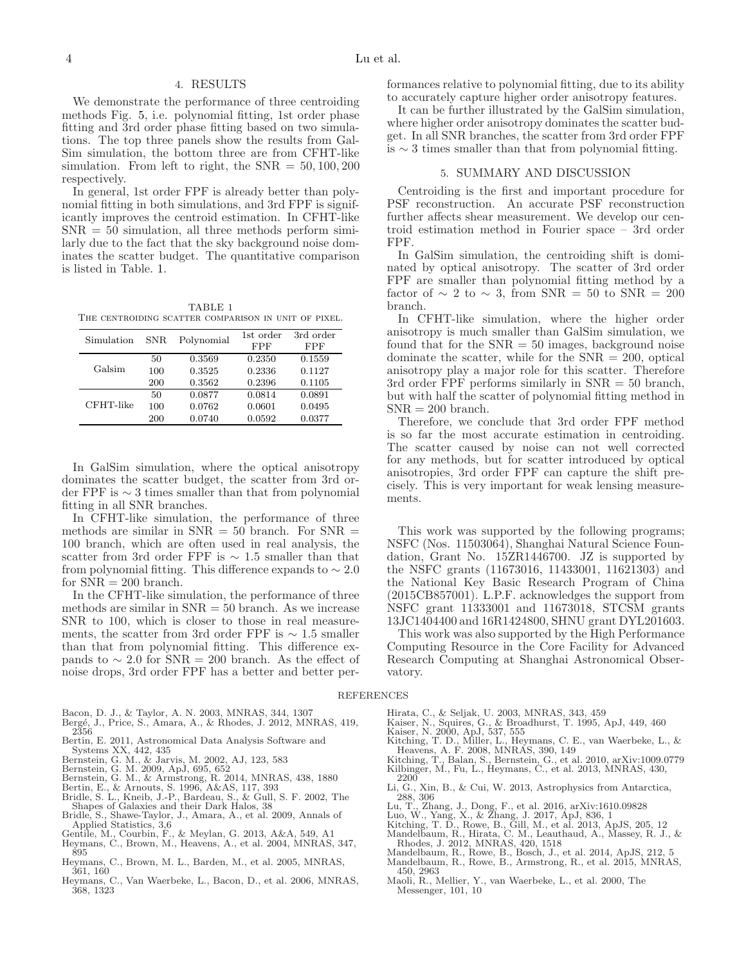### 4. RESULTS

<span id="page-3-22"></span>We demonstrate the performance of three centroiding methods Fig. [5,](#page-4-12) i.e. polynomial fitting, 1st order phase fitting and 3rd order phase fitting based on two simulations. The top three panels show the results from Gal-Sim simulation, the bottom three are from CFHT-like simulation. From left to right, the  $SNR = 50, 100, 200$ respectively.

In general, 1st order FPF is already better than polynomial fitting in both simulations, and 3rd FPF is significantly improves the centroid estimation. In CFHT-like  $SNR = 50$  simulation, all three methods perform similarly due to the fact that the sky background noise dominates the scatter budget. The quantitative comparison is listed in Table. [1.](#page-3-24)

<span id="page-3-24"></span>TABLE 1 THE CENTROIDING SCATTER COMPARISON IN UNIT OF PIXEL.

| Simulation | <b>SNR</b>       | Polynomial                 | 1st order<br>FPF           | 3rd order<br>FPF           |
|------------|------------------|----------------------------|----------------------------|----------------------------|
| Galsim     | 50<br>100        | 0.3569<br>0.3525           | 0.2350<br>0.2336           | 0.1559<br>0.1127           |
|            | 200              | 0.3562                     | 0.2396                     | 0.1105                     |
| CFHT-like  | 50<br>100<br>200 | 0.0877<br>0.0762<br>0.0740 | 0.0814<br>0.0601<br>0.0592 | 0.0891<br>0.0495<br>0.0377 |

In GalSim simulation, where the optical anisotropy dominates the scatter budget, the scatter from 3rd order FPF is ∼ 3 times smaller than that from polynomial fitting in all SNR branches.

In CFHT-like simulation, the performance of three methods are similar in  $SNR = 50$  branch. For  $SNR =$ 100 branch, which are often used in real analysis, the scatter from 3rd order FPF is  $\sim$  1.5 smaller than that from polynomial fitting. This difference expands to  $\sim 2.0$ for  $SNR = 200$  branch.

In the CFHT-like simulation, the performance of three methods are similar in  $SNR = 50$  branch. As we increase SNR to 100, which is closer to those in real measurements, the scatter from 3rd order FPF is  $\sim 1.5$  smaller than that from polynomial fitting. This difference expands to  $\sim 2.0$  for SNR = 200 branch. As the effect of noise drops, 3rd order FPF has a better and better per-

<span id="page-3-5"></span>Bacon, D. J., & Taylor, A. N. 2003, MNRAS, 344, 1307<br>Bergé, J., Price, S., Amara, A., & Rhodes, J. 2012, MNRAS, 419,

- <span id="page-3-20"></span>2356
- <span id="page-3-17"></span>Bertin, E. 2011, Astronomical Data Analysis Software and Systems XX, 442, 435
- 
- 
- 
- <span id="page-3-8"></span><span id="page-3-1"></span>
- <span id="page-3-3"></span>Bernstein, G. M., & Jarvis, M. 2002, AJ, 123, 583<br>Bernstein, G. M., & Armstrong, R. 2014, MNRAS, 438, 1880<br>Bernstein, G. M., & Armstrong, R. 2014, MNRAS, 438, 1880<br>Bertin, E., & Arnouts, S. 1996, A&AS, 117, 393<br>Bridle, S. Shapes of Galaxies and their Dark Halos, 38
- <span id="page-3-12"></span><span id="page-3-4"></span>Bridle, S., Shawe-Taylor, J., Amara, A., et al. 2009, Annals of Applied Statistics, 3,6
- Gentile, M., Courbin, F., & Meylan, G. 2013, A&A, 549, A1
- <span id="page-3-19"></span>Heymans, C., Brown, M., Heavens, A., et al. 2004, MNRAS, 347,
- 895 Heymans, C., Brown, M. L., Barden, M., et al. 2005, MNRAS,
- <span id="page-3-7"></span>361, 160 Heymans, C., Van Waerbeke, L., Bacon, D., et al. 2006, MNRAS,
- <span id="page-3-11"></span>368, 1323

formances relative to polynomial fitting, due to its ability to accurately capture higher order anisotropy features.

It can be further illustrated by the GalSim simulation, where higher order anisotropy dominates the scatter budget. In all SNR branches, the scatter from 3rd order FPF is ∼ 3 times smaller than that from polynomial fitting.

#### 5. SUMMARY AND DISCUSSION

<span id="page-3-23"></span>Centroiding is the first and important procedure for PSF reconstruction. An accurate PSF reconstruction further affects shear measurement. We develop our centroid estimation method in Fourier space – 3rd order FPF.

In GalSim simulation, the centroiding shift is dominated by optical anisotropy. The scatter of 3rd order FPF are smaller than polynomial fitting method by a factor of  $\sim$  2 to  $\sim$  3, from SNR = 50 to SNR = 200 branch.

In CFHT-like simulation, where the higher order anisotropy is much smaller than GalSim simulation, we found that for the  $SNR = 50$  images, background noise dominate the scatter, while for the  $SNR = 200$ , optical anisotropy play a major role for this scatter. Therefore 3rd order FPF performs similarly in SNR = 50 branch, but with half the scatter of polynomial fitting method in  $SNR = 200$  branch.

Therefore, we conclude that 3rd order FPF method is so far the most accurate estimation in centroiding. The scatter caused by noise can not well corrected for any methods, but for scatter introduced by optical anisotropies, 3rd order FPF can capture the shift precisely. This is very important for weak lensing measurements.

This work was supported by the following programs; NSFC (Nos. 11503064), Shanghai Natural Science Foundation, Grant No. 15ZR1446700. JZ is supported by the NSFC grants (11673016, 11433001, 11621303) and the National Key Basic Research Program of China (2015CB857001). L.P.F. acknowledges the support from NSFC grant 11333001 and 11673018, STCSM grants 13JC1404400 and 16R1424800, SHNU grant DYL201603.

This work was also supported by the High Performance Computing Resource in the Core Facility for Advanced Research Computing at Shanghai Astronomical Observatory.

#### REFERENCES

- <span id="page-3-6"></span>
- 
- <span id="page-3-10"></span><span id="page-3-0"></span>
- Hirata, C., & Seljak, U. 2003, MNRAS, 343, 459<br>Kaiser, N., Squires, G., & Broadhurst, T. 1995, ApJ, 449, 460<br>Kaiser, N. 2000, ApJ, 537, 555<br>Kitching, T. D., Miller, L., Heymans, C. E., van Waerbeke, L., &<br>Heavens, A. F. 20
- <span id="page-3-13"></span>Kitching, T., Balan, S., Bernstein, G., et al. 2010, arXiv:1009.0779 Kilbinger, M., Fu, L., Heymans, C., et al. 2013, MNRAS, 430, 2200
- <span id="page-3-18"></span>Li, G., Xin, B., & Cui, W. 2013, Astrophysics from Antarctica, 288, 306
- <span id="page-3-21"></span>
- <span id="page-3-9"></span>
- <span id="page-3-16"></span>
- Lu, T., Zhang, J., Dong, F., et al. 2016, arXiv:1610.09828<br>Luo, W., Yang, X., & Zhang, J. 2017, ApJ, 836, 1<br>Kitching, T. D., Rowe, B., Gill, M., et al. 2013, ApJS, 205, 12<br>Mandelbaum, R., Hirata, C. M., Leauthaud, A., Mass
- <span id="page-3-15"></span><span id="page-3-14"></span>Rhodes, J. 2012, MNRAS, 420, 1518 Mandelbaum, R., Rowe, B., Bosch, J., et al. 2014, ApJS, 212, 5 Mandelbaum, R., Rowe, B., Armstrong, R., et al. 2015, MNRAS,
- <span id="page-3-2"></span>450, 2963 Maoli, R., Mellier, Y., van Waerbeke, L., et al. 2000, The
	- Messenger, 101, 10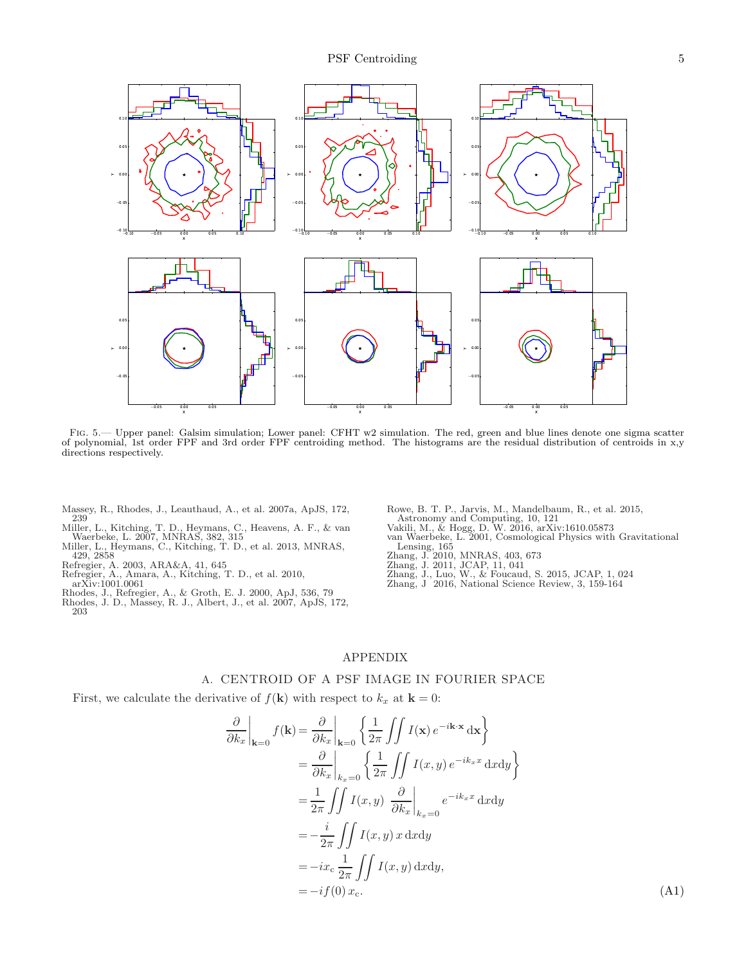

<span id="page-4-12"></span>Fig. 5.— Upper panel: Galsim simulation; Lower panel: CFHT w2 simulation. The red, green and blue lines denote one sigma scatter of polynomial, 1st order FPF and 3rd order FPF centroiding method. The histograms are the residual distribution of centroids in x,y directions respectively.

<span id="page-4-10"></span>Massey, R., Rhodes, J., Leauthaud, A., et al. 2007a, ApJS, 172, 239

- <span id="page-4-7"></span>Miller, L., Kitching, T. D., Heymans, C., Heavens, A. F., & van Waerbeke, L. 2007, MNRAS, 382, 315 Miller, L., Heymans, C., Kitching, T. D., et al. 2013, MNRAS, 429, 2858
- <span id="page-4-8"></span>Refregier, A. 2003, ARA&A, 41, 645
- <span id="page-4-3"></span>
- Refregier, A., Amara, A., Kitching, T. D., et al. 2010, arXiv:1001.0061
- <span id="page-4-1"></span>Rhodes, J., Refregier, A., & Groth, E. J. 2000, ApJ, 536, 79 Rhodes, J. D., Massey, R. J., Albert, J., et al. 2007, ApJS, 172, 203

<span id="page-4-11"></span>Rowe, B. T. P., Jarvis, M., Mandelbaum, R., et al. 2015,

- <span id="page-4-0"></span>
- Astronomy and Computing, 10, 121<br>
Vakili, M., & Hogg, D. W. 2016, arXiv:1610.05873<br>
van Waerbeke, L. 2001, Cosmological Physics with Gravitational<br>
Lensing, 165<br>
Zhang, J. 2010, MNRAS, 403, 673
- <span id="page-4-2"></span>
- <span id="page-4-4"></span>
- <span id="page-4-5"></span>Zhang, J. 2011, JCAP, 11, 041 Zhang, J., Luo, W., & Foucaud, S. 2015, JCAP, 1, 024 Zhang, J 2016, National Science Review, 3, 159-164
- <span id="page-4-9"></span><span id="page-4-6"></span>

# APPENDIX

# A. CENTROID OF A PSF IMAGE IN FOURIER SPACE

First, we calculate the derivative of  $f(\mathbf{k})$  with respect to  $k_x$  at  $\mathbf{k} = 0$ :

<span id="page-4-13"></span>
$$
\frac{\partial}{\partial k_x}\Big|_{\mathbf{k}=0} f(\mathbf{k}) = \frac{\partial}{\partial k_x}\Big|_{\mathbf{k}=0} \left\{ \frac{1}{2\pi} \iint I(\mathbf{x}) e^{-i\mathbf{k}\cdot\mathbf{x}} d\mathbf{x} \right\}
$$

$$
= \frac{\partial}{\partial k_x}\Big|_{k_x=0} \left\{ \frac{1}{2\pi} \iint I(x,y) e^{-ik_x x} dxdy \right\}
$$

$$
= \frac{1}{2\pi} \iint I(x,y) \frac{\partial}{\partial k_x}\Big|_{k_x=0} e^{-ik_x x} dxdy
$$

$$
= -\frac{i}{2\pi} \iint I(x,y) x dxdy
$$

$$
= -ix_c \frac{1}{2\pi} \iint I(x,y) dxdy,
$$

$$
= -if(0) x_c. \tag{A1}
$$